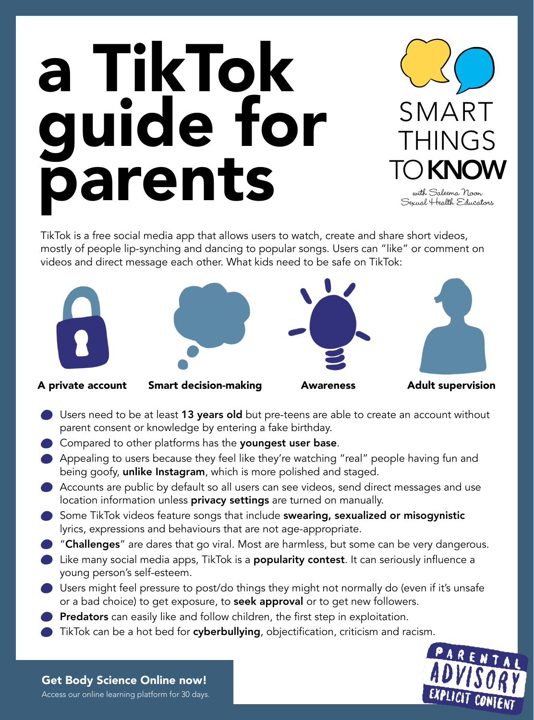TikTok is a free social media app that allows users to watch, create and share short videos,

mostly of people lip-synching and dancing to popular songs. Users can "like" or comment on videos and direct message each other. What kids need to be safe on TikTok:

# a TikTok [guide for](https://saleema-noon-sexual-health-educators.mykajabi.com/sales-page)  parents



with Saleema Noon Sexual Health Educators



- Users need to be at least 13 years old but pre-teens are able to create an account without parent consent or knowledge by entering a fake birthday.
- Compared to other platforms has the youngest user base.
- Appealing to users because they feel like they're watching "real" people having fun and being goofy, unlike Instagram, which is more polished and staged.
- Accounts are public by default so all users can see videos, send direct messages and use location information unless privacy settings are turned on manually.
- Some TikTok videos feature songs that include swearing, sexualized or misogynistic lyrics, expressions and behaviours that are not age-appropriate.
- "Challenges" are dares that go viral. Most are harmless, but some can be very dangerous.
- Like many social media apps, TikTok is a **popularity contest**. It can seriously influence a young person's self-esteem.
- Users might feel pressure to post/do things they might not normally do (even if it's unsafe or a bad choice) to get exposure, to seek approval or to get new followers.
- Predators can easily like and follow children, the first step in exploitation.
- TikTok can be a hot bed for cyberbullying, objectification, criticism and racism.

### [Get Body Science Online now!](https://saleema-noon-sexual-health-educators.mykajabi.com/sales-page)

[Access our online learning platform for 30 days.](https://saleema-noon-sexual-health-educators.mykajabi.com/sales-page)

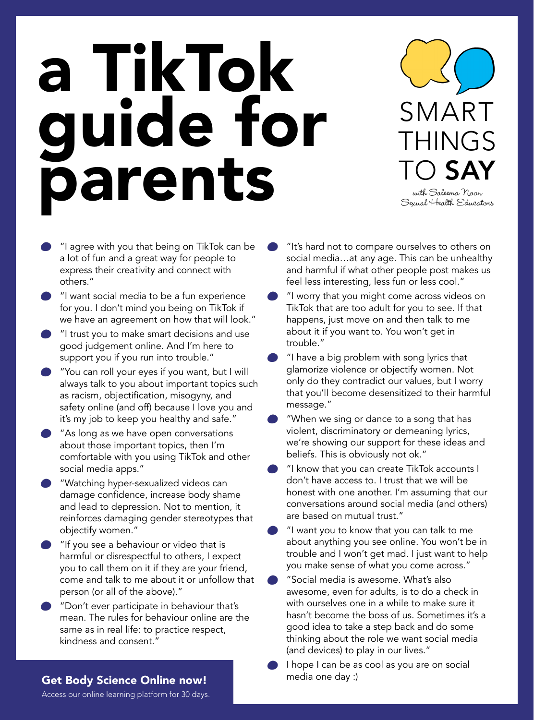# a TikTok [guide for](https://saleema-noon-sexual-health-educators.mykajabi.com/sales-page)  parents

- "I agree with you that being on TikTok can be a lot of fun and a great way for people to express their creativity and connect with others."
- "I want social media to be a fun experience for you. I don't mind you being on TikTok if we have an agreement on how that will look."
- "I trust you to make smart decisions and use good judgement online. And I'm here to support you if you run into trouble."
	- "You can roll your eyes if you want, but I will always talk to you about important topics such as racism, objectification, misogyny, and safety online (and off) because I love you and it's my job to keep you healthy and safe."
- "As long as we have open conversations about those important topics, then I'm comfortable with you using TikTok and other social media apps."
- "Watching hyper-sexualized videos can damage confidence, increase body shame and lead to depression. Not to mention, it reinforces damaging gender stereotypes that objectify women."
	-
- "I want you to know that you can talk to me about anything you see online. You won't be in trouble and I won't get mad. I just want to help you make sense of what you come across."
- "Social media is awesome. What's also awesome, even for adults, is to do a check in with ourselves one in a while to make sure it hasn't become the boss of us. Sometimes it's a good idea to take a step back and do some thinking about the role we want social media (and devices) to play in our lives."
- I hope I can be as cool as you are on social

SMART THINGS TO SAY

- "It's hard not to compare ourselves to others on social media…at any age. This can be unhealthy and harmful if what other people post makes us feel less interesting, less fun or less cool."
- "I worry that you might come across videos on TikTok that are too adult for you to see. If that happens, just move on and then talk to me about it if you want to. You won't get in trouble."
- "I have a big problem with song lyrics that glamorize violence or objectify women. Not only do they contradict our values, but I worry that you'll become desensitized to their harmful message."
- "When we sing or dance to a song that has violent, discriminatory or demeaning lyrics, we're showing our support for these ideas and beliefs. This is obviously not ok."
- "I know that you can create TikTok accounts I don't have access to. I trust that we will be honest with one another. I'm assuming that our conversations around social media (and others) are based on mutual trust."
- "If you see a behaviour or video that is harmful or disrespectful to others, I expect you to call them on it if they are your friend, come and talk to me about it or unfollow that person (or all of the above)."
	- "Don't ever participate in behaviour that's mean. The rules for behaviour online are the same as in real life: to practice respect, kindness and consent."

### [Get Body Science Online now!](https://saleema-noon-sexual-health-educators.mykajabi.com/sales-page) media one day :)

with Saleema Noon Sexual Health Educators

[Access our online learning platform for 30 days.](https://saleema-noon-sexual-health-educators.mykajabi.com/sales-page)